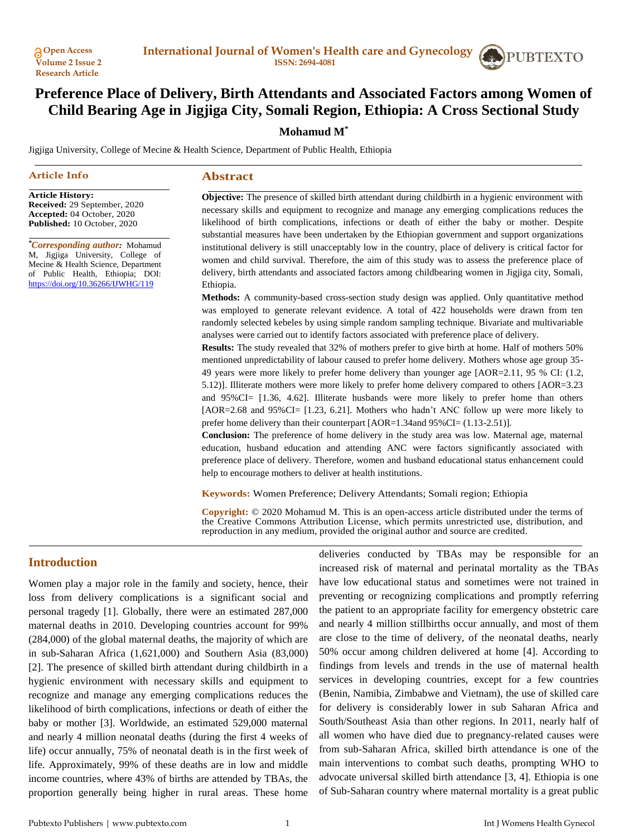

# **Preference Place of Delivery, Birth Attendants and Associated Factors among Women of Child Bearing Age in Jigjiga City, Somali Region, Ethiopia: A Cross Sectional Study**

# **Mohamud M\***

Jigjiga University, College of Mecine & Health Science, Department of Public Health, Ethiopia

#### **Article Info**

#### **Abstract**

**Article History: Received:** 29 September, 2020 **Accepted:** 04 October, 2020 **Published:** 10 October, 2020

*\*Corresponding author:* Mohamud M, Jigjiga University, College of Mecine & Health Science, Department of Public Health, Ethiopia; DOI: <https://doi.org/10.36266/IJWHG/119>

**Objective:** The presence of skilled birth attendant during childbirth in a hygienic environment with necessary skills and equipment to recognize and manage any emerging complications reduces the likelihood of birth complications, infections or death of either the baby or mother. Despite substantial measures have been undertaken by the Ethiopian government and support organizations institutional delivery is still unacceptably low in the country, place of delivery is critical factor for women and child survival. Therefore, the aim of this study was to assess the preference place of delivery, birth attendants and associated factors among childbearing women in Jigjiga city, Somali, Ethiopia.

**Methods:** A community-based cross-section study design was applied. Only quantitative method was employed to generate relevant evidence. A total of 422 households were drawn from ten randomly selected kebeles by using simple random sampling technique. Bivariate and multivariable analyses were carried out to identify factors associated with preference place of delivery.

**Results:** The study revealed that 32% of mothers prefer to give birth at home. Half of mothers 50% mentioned unpredictability of labour caused to prefer home delivery. Mothers whose age group 35- 49 years were more likely to prefer home delivery than younger age [AOR=2.11, 95 % CI: (1.2, 5.12)]. Illiterate mothers were more likely to prefer home delivery compared to others [AOR=3.23 and 95%CI= [1.36, 4.62]. Illiterate husbands were more likely to prefer home than others [AOR=2.68 and 95%CI= [1.23, 6.21]. Mothers who hadn't ANC follow up were more likely to prefer home delivery than their counterpart [AOR=1.34and 95%CI= (1.13-2.51)].

**Conclusion:** The preference of home delivery in the study area was low. Maternal age, maternal education, husband education and attending ANC were factors significantly associated with preference place of delivery. Therefore, women and husband educational status enhancement could help to encourage mothers to deliver at health institutions.

**Keywords:** Women Preference; Delivery Attendants; Somali region; Ethiopia

**Copyright:** © 2020 Mohamud M. This is an open-access article distributed under the terms of the Creative Commons Attribution License, which permits unrestricted use, distribution, and reproduction in any medium, provided the original author and source are credited.

# **Introduction**

Women play a major role in the family and society, hence, their loss from delivery complications is a significant social and personal tragedy [1]. Globally, there were an estimated 287,000 maternal deaths in 2010. Developing countries account for 99% (284,000) of the global maternal deaths, the majority of which are in sub-Saharan Africa (1,621,000) and Southern Asia (83,000) [2]. The presence of skilled birth attendant during childbirth in a hygienic environment with necessary skills and equipment to recognize and manage any emerging complications reduces the likelihood of birth complications, infections or death of either the baby or mother [3]. Worldwide, an estimated 529,000 maternal and nearly 4 million neonatal deaths (during the first 4 weeks of life) occur annually, 75% of neonatal death is in the first week of life. Approximately, 99% of these deaths are in low and middle income countries, where 43% of births are attended by TBAs, the proportion generally being higher in rural areas. These home deliveries conducted by TBAs may be responsible for an increased risk of maternal and perinatal mortality as the TBAs have low educational status and sometimes were not trained in preventing or recognizing complications and promptly referring the patient to an appropriate facility for emergency obstetric care and nearly 4 million stillbirths occur annually, and most of them are close to the time of delivery, of the neonatal deaths, nearly 50% occur among children delivered at home [4]. According to findings from levels and trends in the use of maternal health services in developing countries, except for a few countries (Benin, Namibia, Zimbabwe and Vietnam), the use of skilled care for delivery is considerably lower in sub Saharan Africa and South/Southeast Asia than other regions. In 2011, nearly half of all women who have died due to pregnancy-related causes were from sub-Saharan Africa, skilled birth attendance is one of the main interventions to combat such deaths, prompting WHO to advocate universal skilled birth attendance [3, 4]. Ethiopia is one of Sub-Saharan country where maternal mortality is a great public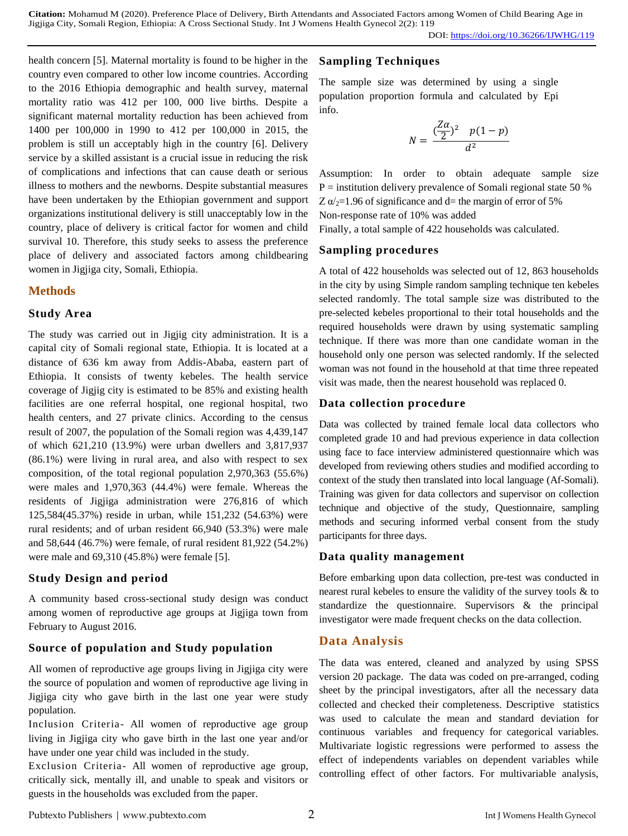DOI:<https://doi.org/10.36266/IJWHG/119>

health concern [5]. Maternal mortality is found to be higher in the country even compared to other low income countries. According to the 2016 Ethiopia demographic and health survey, maternal mortality ratio was 412 per 100, 000 live births. Despite a significant maternal mortality reduction has been achieved from 1400 per 100,000 in 1990 to 412 per 100,000 in 2015, the problem is still un acceptably high in the country [6]. Delivery service by a skilled assistant is a crucial issue in reducing the risk of complications and infections that can cause death or serious illness to mothers and the newborns. Despite substantial measures have been undertaken by the Ethiopian government and support organizations institutional delivery is still unacceptably low in the country, place of delivery is critical factor for women and child survival 10. Therefore, this study seeks to assess the preference place of delivery and associated factors among childbearing women in Jigjiga city, Somali, Ethiopia.

## **Methods**

#### **Study Area**

The study was carried out in Jigjig city administration. It is a capital city of Somali regional state, Ethiopia. It is located at a distance of 636 km away from Addis-Ababa, eastern part of Ethiopia. It consists of twenty kebeles. The health service coverage of Jigjig city is estimated to be 85% and existing health facilities are one referral hospital, one regional hospital, two health centers, and 27 private clinics. According to the census result of 2007, the population of the Somali region was 4,439,147 of which 621,210 (13.9%) were urban dwellers and 3,817,937 (86.1%) were living in rural area, and also with respect to sex composition, of the total regional population 2,970,363 (55.6%) were males and 1,970,363 (44.4%) were female. Whereas the residents of Jigjiga administration were 276,816 of which 125,584(45.37%) reside in urban, while 151,232 (54.63%) were rural residents; and of urban resident 66,940 (53.3%) were male and 58,644 (46.7%) were female, of rural resident 81,922 (54.2%) were male and 69,310 (45.8%) were female [5].

### **Study Design and period**

A community based cross-sectional study design was conduct among women of reproductive age groups at Jigjiga town from February to August 2016.

### **Source of population and Study population**

All women of reproductive age groups living in Jigjiga city were the source of population and women of reproductive age living in Jigjiga city who gave birth in the last one year were study population.

Inclusion Criteria*-* All women of reproductive age group living in Jigjiga city who gave birth in the last one year and/or have under one year child was included in the study.

Exclusion Criteria- All women of reproductive age group, critically sick, mentally ill, and unable to speak and visitors or guests in the households was excluded from the paper.

# **Sampling Techniques**

The sample size was determined by using a single population proportion formula and calculated by Epi info.

$$
N = \frac{(\frac{Z\alpha}{2})^2 p(1-p)}{d^2}
$$

Assumption: In order to obtain adequate sample size P = institution delivery prevalence of Somali regional state 50 % Z  $\alpha/2$ =1.96 of significance and d= the margin of error of 5% Non-response rate of 10% was added

Finally, a total sample of 422 households was calculated.

### **Sampling procedures**

A total of 422 households was selected out of 12, 863 households in the city by using Simple random sampling technique ten kebeles selected randomly. The total sample size was distributed to the pre-selected kebeles proportional to their total households and the required households were drawn by using systematic sampling technique. If there was more than one candidate woman in the household only one person was selected randomly. If the selected woman was not found in the household at that time three repeated visit was made, then the nearest household was replaced 0.

### **Data collection procedure**

Data was collected by trained female local data collectors who completed grade 10 and had previous experience in data collection using face to face interview administered questionnaire which was developed from reviewing others studies and modified according to context of the study then translated into local language (Af-Somali). Training was given for data collectors and supervisor on collection technique and objective of the study, Questionnaire, sampling methods and securing informed verbal consent from the study participants for three days.

### **Data quality management**

Before embarking upon data collection, pre-test was conducted in nearest rural kebeles to ensure the validity of the survey tools & to standardize the questionnaire. Supervisors & the principal investigator were made frequent checks on the data collection.

# **Data Analysis**

The data was entered, cleaned and analyzed by using SPSS version 20 package. The data was coded on pre-arranged, coding sheet by the principal investigators, after all the necessary data collected and checked their completeness. Descriptive statistics was used to calculate the mean and standard deviation for continuous variables and frequency for categorical variables. Multivariate logistic regressions were performed to assess the effect of independents variables on dependent variables while controlling effect of other factors. For multivariable analysis,

Pubtexto Publishers | www.pubtexto.com 2 Int J Womens Health Gynecol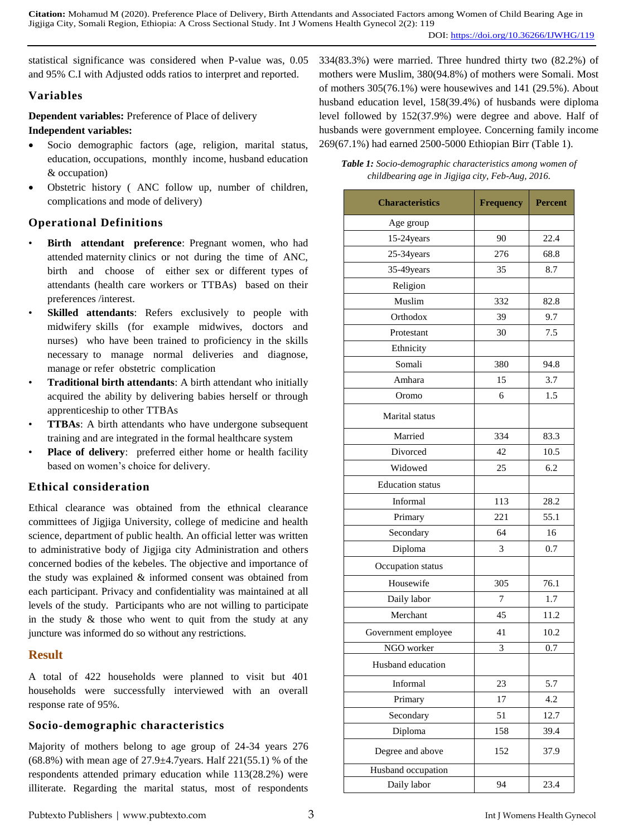statistical significance was considered when P-value was, 0.05 and 95% C.I with Adjusted odds ratios to interpret and reported.

### **Variables**

**Dependent variables:** Preference of Place of delivery

#### **Independent variables:**

- Socio demographic factors (age, religion, marital status, education, occupations, monthly income, husband education & occupation)
- Obstetric history ( ANC follow up, number of children, complications and mode of delivery)

## **Operational Definitions**

- Birth attendant preference: Pregnant women, who had attended maternity clinics or not during the time of ANC, birth and choose of either sex or different types of attendants (health care workers or TTBAs) based on their preferences /interest.
- **Skilled attendants:** Refers exclusively to people with midwifery skills (for example midwives, doctors and nurses) who have been trained to proficiency in the skills necessary to manage normal deliveries and diagnose, manage or refer obstetric complication
- **Traditional birth attendants**: A birth attendant who initially acquired the ability by delivering babies herself or through apprenticeship to other TTBAs
- **TTBAs:** A birth attendants who have undergone subsequent training and are integrated in the formal healthcare system
- **Place of delivery**: preferred either home or health facility based on women's choice for delivery.

# **Ethical consideration**

Ethical clearance was obtained from the ethnical clearance committees of Jigjiga University, college of medicine and health science, department of public health. An official letter was written to administrative body of Jigjiga city Administration and others concerned bodies of the kebeles. The objective and importance of the study was explained & informed consent was obtained from each participant. Privacy and confidentiality was maintained at all levels of the study. Participants who are not willing to participate in the study  $\&$  those who went to quit from the study at any juncture was informed do so without any restrictions.

# **Result**

A total of 422 households were planned to visit but 401 households were successfully interviewed with an overall response rate of 95%.

### **Socio-demographic characteristics**

Majority of mothers belong to age group of 24-34 years 276 (68.8%) with mean age of  $27.9 \pm 4.7$  years. Half  $221(55.1)$  % of the respondents attended primary education while 113(28.2%) were illiterate. Regarding the marital status, most of respondents 334(83.3%) were married. Three hundred thirty two (82.2%) of mothers were Muslim, 380(94.8%) of mothers were Somali. Most of mothers 305(76.1%) were housewives and 141 (29.5%). About husband education level, 158(39.4%) of husbands were diploma level followed by 152(37.9%) were degree and above. Half of husbands were government employee. Concerning family income 269(67.1%) had earned 2500-5000 Ethiopian Birr (Table 1).

*Table 1: Socio-demographic characteristics among women of childbearing age in Jigjiga city, Feb-Aug, 2016.*

| <b>Characteristics</b>  | <b>Frequency</b> | <b>Percent</b> |  |
|-------------------------|------------------|----------------|--|
| Age group               |                  |                |  |
| 15-24 years             | 90               | 22.4           |  |
| 25-34years              | 276              | 68.8           |  |
| 35-49years              | 35               | 8.7            |  |
| Religion                |                  |                |  |
| Muslim                  | 332              | 82.8           |  |
| Orthodox                | 39               | 9.7            |  |
| Protestant              | 30               | 7.5            |  |
| Ethnicity               |                  |                |  |
| Somali                  | 380              | 94.8           |  |
| Amhara                  | 15               | 3.7            |  |
| Oromo                   | 6                | 1.5            |  |
| Marital status          |                  |                |  |
| Married                 | 334              | 83.3           |  |
| Divorced                | 42               | 10.5           |  |
| Widowed                 | 25               | 6.2            |  |
| <b>Education</b> status |                  |                |  |
| Informal                | 113              | 28.2           |  |
| Primary                 | 221              | 55.1           |  |
| Secondary               | 64               | 16             |  |
| Diploma                 | 3                | 0.7            |  |
| Occupation status       |                  |                |  |
| Housewife               | 305              | 76.1           |  |
| Daily labor             | 7                | 1.7            |  |
| Merchant                | 45               | 11.2           |  |
| Government employee     | 41               | 10.2           |  |
| NGO worker              | 3                | 0.7            |  |
| Husband education       |                  |                |  |
| Informal                | 23               | 5.7            |  |
| Primary                 | 17               | 4.2            |  |
| Secondary               | 51               | 12.7           |  |
| Diploma                 | 158              | 39.4           |  |
| Degree and above        | 152              | 37.9           |  |
| Husband occupation      |                  |                |  |
| Daily labor             | 94               | 23.4           |  |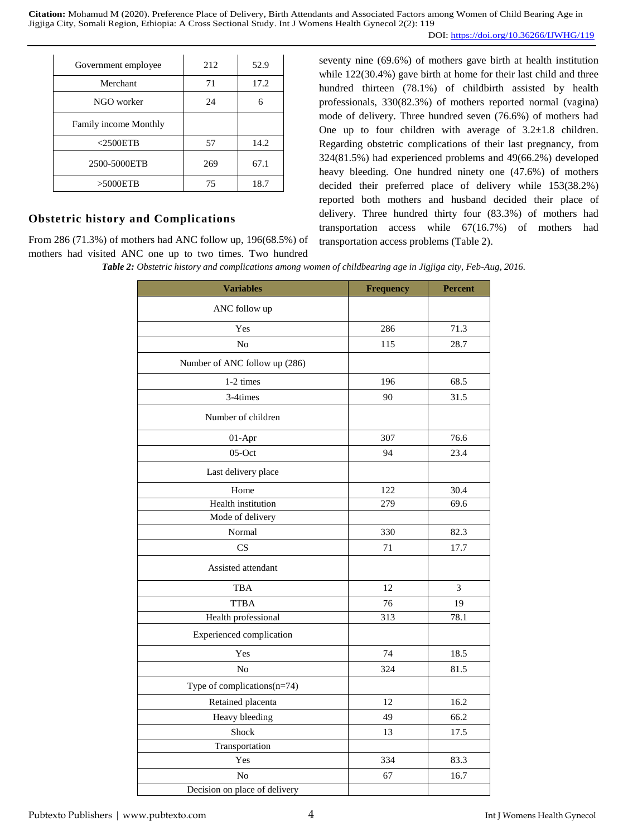| Government employee   | 212 | 52.9 |
|-----------------------|-----|------|
| Merchant              | 71  | 17.2 |
| NGO worker            | 24  | 6    |
| Family income Monthly |     |      |
| $<$ 2500ETB           | 57  | 14.2 |
| 2500-5000ETB          | 269 | 67.1 |
| >5000ETB              | 75  | 18.7 |

#### **Obstetric history and Complications**

From 286 (71.3%) of mothers had ANC follow up, 196(68.5%) of mothers had visited ANC one up to two times. Two hundred

seventy nine (69.6%) of mothers gave birth at health institution while  $122(30.4%)$  gave birth at home for their last child and three hundred thirteen (78.1%) of childbirth assisted by health professionals, 330(82.3%) of mothers reported normal (vagina) mode of delivery. Three hundred seven (76.6%) of mothers had One up to four children with average of  $3.2 \pm 1.8$  children. Regarding obstetric complications of their last pregnancy, from 324(81.5%) had experienced problems and 49(66.2%) developed heavy bleeding. One hundred ninety one (47.6%) of mothers decided their preferred place of delivery while 153(38.2%) reported both mothers and husband decided their place of delivery. Three hundred thirty four (83.3%) of mothers had transportation access while 67(16.7%) of mothers had transportation access problems (Table 2).

*Table 2: Obstetric history and complications among women of childbearing age in Jigjiga city, Feb-Aug, 2016.*

| <b>Variables</b>               | <b>Frequency</b> | <b>Percent</b> |
|--------------------------------|------------------|----------------|
| ANC follow up                  |                  |                |
| Yes                            | 286              | 71.3           |
| N <sub>o</sub>                 | 115              | 28.7           |
| Number of ANC follow up (286)  |                  |                |
| 1-2 times                      | 196              | 68.5           |
| 3-4times                       | 90               | 31.5           |
| Number of children             |                  |                |
| 01-Apr                         | 307              | 76.6           |
| $05$ -Oct                      | 94               | 23.4           |
| Last delivery place            |                  |                |
| Home                           | 122              | 30.4           |
| Health institution             | 279              | 69.6           |
| Mode of delivery               |                  |                |
| Normal                         | 330              | 82.3           |
| CS                             | 71               | 17.7           |
| Assisted attendant             |                  |                |
| <b>TBA</b>                     | 12               | 3              |
| <b>TTBA</b>                    | 76               | 19             |
| Health professional            | 313              | 78.1           |
| Experienced complication       |                  |                |
| Yes                            | 74               | 18.5           |
| N <sub>o</sub>                 | 324              | 81.5           |
| Type of complications $(n=74)$ |                  |                |
| Retained placenta              | 12               | 16.2           |
| Heavy bleeding                 | 49               | 66.2           |
| Shock                          | 13               | 17.5           |
| Transportation                 |                  |                |
| Yes                            | 334              | 83.3           |
| No                             | 67               | 16.7           |
| Decision on place of delivery  |                  |                |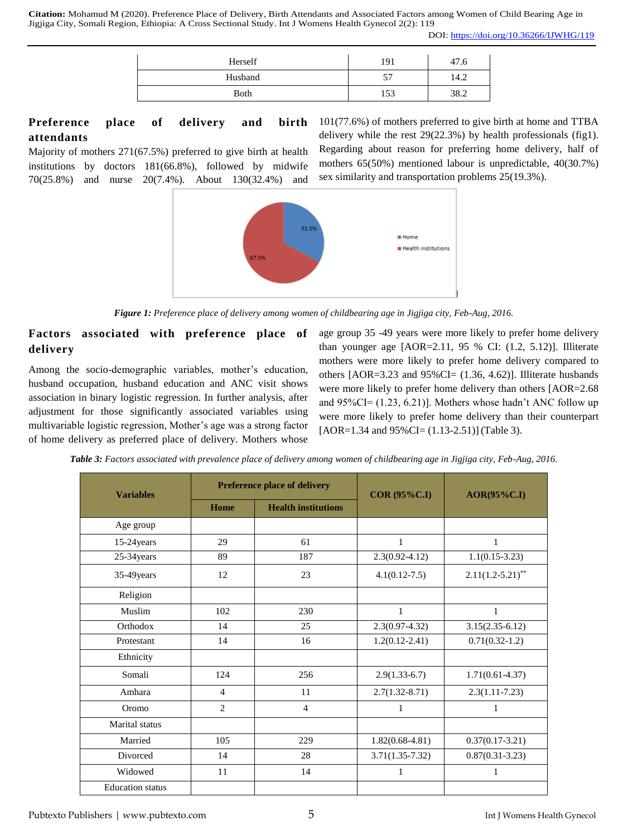| Herself     | 191      | 47.6 |
|-------------|----------|------|
| Husband     |          | 14.2 |
| <b>Both</b> | $15^{2}$ | 38.2 |

# **Preference place of delivery and birth attendants**

Majority of mothers 271(67.5%) preferred to give birth at health institutions by doctors 181(66.8%), followed by midwife 70(25.8%) and nurse 20(7.4%). About 130(32.4%) and

sex similarity and transportation problems 25(19.3%). 32.59 Health institutions

*Figure 1: Preference place of delivery among women of childbearing age in Jigjiga city, Feb-Aug, 2016.*

# **Factors associated with preference place of delivery**

Among the socio-demographic variables, mother's education, husband occupation, husband education and ANC visit shows association in binary logistic regression. In further analysis, after adjustment for those significantly associated variables using multivariable logistic regression, Mother's age was a strong factor of home delivery as preferred place of delivery. Mothers whose age group 35 -49 years were more likely to prefer home delivery than younger age  $[AOR=2.11, 95 % CI: (1.2, 5.12)].$  Illiterate mothers were more likely to prefer home delivery compared to others [AOR=3.23 and 95%CI= (1.36, 4.62)]. Illiterate husbands were more likely to prefer home delivery than others [AOR=2.68 and 95%CI= (1.23, 6.21)]. Mothers whose hadn't ANC follow up were more likely to prefer home delivery than their counterpart  $[AOR=1.34$  and  $95\%$ CI= $(1.13-2.51)$ ] (Table 3).

101(77.6%) of mothers preferred to give birth at home and TTBA delivery while the rest 29(22.3%) by health professionals (fig1). Regarding about reason for preferring home delivery, half of mothers 65(50%) mentioned labour is unpredictable, 40(30.7%)

|  | <b>Table 3:</b> Factors associated with prevalence place of delivery among women of childbearing age in Jigjiga city, Feb-Aug, 2016. |  |  |  |  |  |  |  |  |  |
|--|--------------------------------------------------------------------------------------------------------------------------------------|--|--|--|--|--|--|--|--|--|
|--|--------------------------------------------------------------------------------------------------------------------------------------|--|--|--|--|--|--|--|--|--|

| <b>Variables</b>        |                | <b>Preference place of delivery</b> | <b>COR (95%C.I)</b> | $AOR(95\%C.I)$      |  |
|-------------------------|----------------|-------------------------------------|---------------------|---------------------|--|
|                         | Home           | <b>Health institutions</b>          |                     |                     |  |
| Age group               |                |                                     |                     |                     |  |
| 15-24 years             | 29             | 61                                  | 1                   | 1                   |  |
| 25-34 years             | 89             | 187                                 | $2.3(0.92 - 4.12)$  | $1.1(0.15-3.23)$    |  |
| 35-49 years             | 12             | 23                                  | $4.1(0.12 - 7.5)$   | $2.11(1.2-5.21)$ ** |  |
| Religion                |                |                                     |                     |                     |  |
| Muslim                  | 102            | 230                                 | $\mathbf{1}$        | 1                   |  |
| Orthodox                | 14             | 25                                  | $2.3(0.97 - 4.32)$  | $3.15(2.35-6.12)$   |  |
| Protestant              | 14             | 16                                  | $1.2(0.12 - 2.41)$  | $0.71(0.32-1.2)$    |  |
| Ethnicity               |                |                                     |                     |                     |  |
| Somali                  | 124            | 256                                 | $2.9(1.33-6.7)$     | $1.71(0.61 - 4.37)$ |  |
| Amhara                  | $\overline{4}$ | 11                                  | $2.7(1.32 - 8.71)$  | $2.3(1.11-7.23)$    |  |
| Oromo                   | $\overline{2}$ | 4                                   | 1                   | 1                   |  |
| Marital status          |                |                                     |                     |                     |  |
| Married                 | 105            | 229                                 | $1.82(0.68-4.81)$   | $0.37(0.17-3.21)$   |  |
| Divorced                | 14             | 28                                  | $3.71(1.35 - 7.32)$ | $0.87(0.31 - 3.23)$ |  |
| Widowed                 | 11             | 14                                  | $\mathbf{1}$        | 1                   |  |
| <b>Education</b> status |                |                                     |                     |                     |  |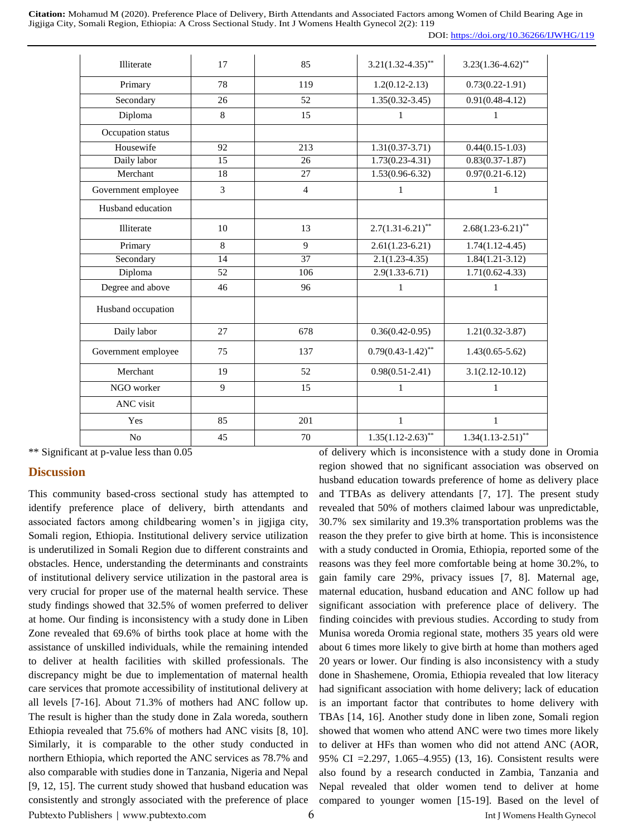| DOI: https://doi.org/10.36266/IJWHG/119 |
|-----------------------------------------|
|                                         |

| Illiterate          | 17 | 85             | $3.21(1.32 - 4.35)$ **   | $3.23(1.36 - 4.62)^{**}$ |
|---------------------|----|----------------|--------------------------|--------------------------|
| Primary             | 78 | 119            | $1.2(0.12 - 2.13)$       | $0.73(0.22 - 1.91)$      |
| Secondary           | 26 | 52             | $1.35(0.32 - 3.45)$      | $0.91(0.48 - 4.12)$      |
| Diploma             | 8  | 15             | 1                        | 1                        |
| Occupation status   |    |                |                          |                          |
| Housewife           | 92 | 213            | $1.31(0.37 - 3.71)$      | $0.44(0.15-1.03)$        |
| Daily labor         | 15 | 26             | $1.73(0.23 - 4.31)$      | $0.83(0.37 - 1.87)$      |
| Merchant            | 18 | 27             | $1.53(0.96-6.32)$        | $0.97(0.21 - 6.12)$      |
| Government employee | 3  | $\overline{4}$ | 1                        | $\mathbf{1}$             |
| Husband education   |    |                |                          |                          |
| Illiterate          | 10 | 13             | $2.7(1.31 - 6.21)^{**}$  | $2.68(1.23 - 6.21)$ **   |
| Primary             | 8  | 9              | $2.61(1.23-6.21)$        | $1.74(1.12 - 4.45)$      |
| Secondary           | 14 | 37             | $2.1(1.23 - 4.35)$       | $1.84(1.21-3.12)$        |
| Diploma             | 52 | 106            | $2.9(1.33 - 6.71)$       | $1.71(0.62 - 4.33)$      |
| Degree and above    | 46 | 96             | 1                        | 1                        |
| Husband occupation  |    |                |                          |                          |
| Daily labor         | 27 | 678            | $0.36(0.42 - 0.95)$      | $1.21(0.32 - 3.87)$      |
| Government employee | 75 | 137            | $0.79(0.43 - 1.42)^{**}$ | $1.43(0.65 - 5.62)$      |
| Merchant            | 19 | 52             | $0.98(0.51 - 2.41)$      | $3.1(2.12 - 10.12)$      |
| NGO worker          | 9  | 15             | 1                        | 1                        |
| ANC visit           |    |                |                          |                          |
| Yes                 | 85 | 201            | 1                        | $\mathbf{1}$             |
| N <sub>0</sub>      | 45 | 70             | $1.35(1.12 - 2.63)$ **   | $1.34(1.13-2.51)$ **     |

\*\* Significant at p-value less than 0.05

#### **Discussion**

Pubtexto Publishers | www.pubtexto.com 6 Int J Womens Health Gynecol This community based-cross sectional study has attempted to identify preference place of delivery, birth attendants and associated factors among childbearing women's in jigjiga city, Somali region, Ethiopia. Institutional delivery service utilization is underutilized in Somali Region due to different constraints and obstacles. Hence, understanding the determinants and constraints of institutional delivery service utilization in the pastoral area is very crucial for proper use of the maternal health service. These study findings showed that 32.5% of women preferred to deliver at home. Our finding is inconsistency with a study done in Liben Zone revealed that 69.6% of births took place at home with the assistance of unskilled individuals, while the remaining intended to deliver at health facilities with skilled professionals. The discrepancy might be due to implementation of maternal health care services that promote accessibility of institutional delivery at all levels [7-16]. About 71.3% of mothers had ANC follow up. The result is higher than the study done in Zala woreda, southern Ethiopia revealed that 75.6% of mothers had ANC visits [8, 10]. Similarly, it is comparable to the other study conducted in northern Ethiopia, which reported the ANC services as 78.7% and also comparable with studies done in Tanzania, Nigeria and Nepal [9, 12, 15]. The current study showed that husband education was consistently and strongly associated with the preference of place

of delivery which is inconsistence with a study done in Oromia region showed that no significant association was observed on husband education towards preference of home as delivery place and TTBAs as delivery attendants [7, 17]. The present study revealed that 50% of mothers claimed labour was unpredictable, 30.7% sex similarity and 19.3% transportation problems was the reason the they prefer to give birth at home. This is inconsistence with a study conducted in Oromia, Ethiopia, reported some of the reasons was they feel more comfortable being at home 30.2%, to gain family care 29%, privacy issues [7, 8]. Maternal age, maternal education, husband education and ANC follow up had significant association with preference place of delivery. The finding coincides with previous studies. According to study from Munisa woreda Oromia regional state, mothers 35 years old were about 6 times more likely to give birth at home than mothers aged 20 years or lower. Our finding is also inconsistency with a study done in Shashemene, Oromia, Ethiopia revealed that low literacy had significant association with home delivery; lack of education is an important factor that contributes to home delivery with TBAs [14, 16]. Another study done in liben zone, Somali region showed that women who attend ANC were two times more likely to deliver at HFs than women who did not attend ANC (AOR, 95% CI =2.297, 1.065–4.955) (13, 16). Consistent results were also found by a research conducted in Zambia, Tanzania and Nepal revealed that older women tend to deliver at home compared to younger women [15-19]. Based on the level of